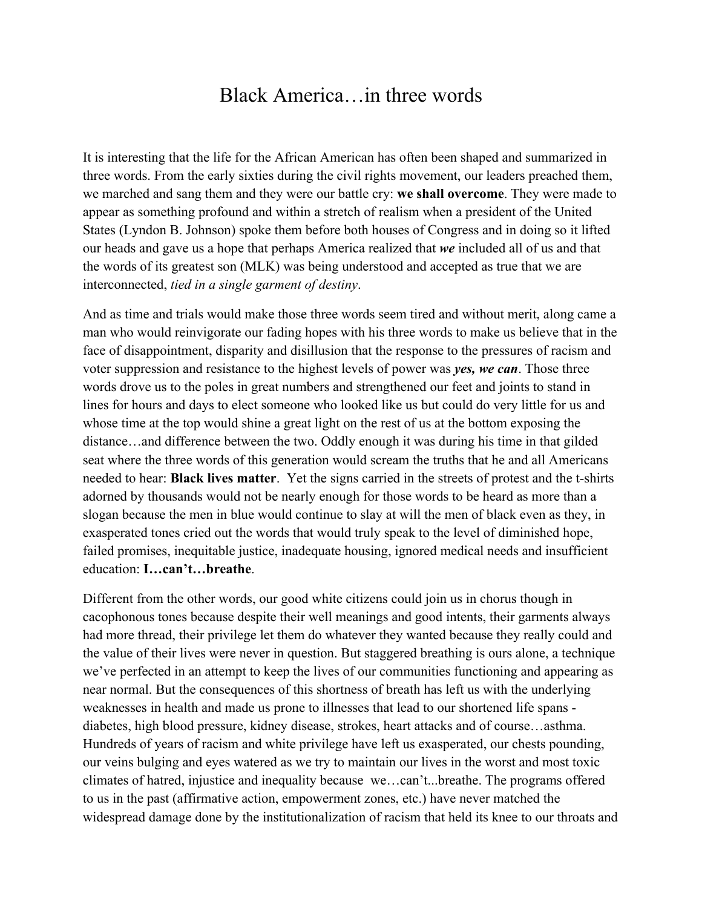## Black America…in three words

It is interesting that the life for the African American has often been shaped and summarized in three words. From the early sixties during the civil rights movement, our leaders preached them, we marched and sang them and they were our battle cry: **we shall overcome**. They were made to appear as something profound and within a stretch of realism when a president of the United States (Lyndon B. Johnson) spoke them before both houses of Congress and in doing so it lifted our heads and gave us a hope that perhaps America realized that *we* included all of us and that the words of its greatest son (MLK) was being understood and accepted as true that we are interconnected, *tied in a single garment of destiny*.

And as time and trials would make those three words seem tired and without merit, along came a man who would reinvigorate our fading hopes with his three words to make us believe that in the face of disappointment, disparity and disillusion that the response to the pressures of racism and voter suppression and resistance to the highest levels of power was *yes, we can*. Those three words drove us to the poles in great numbers and strengthened our feet and joints to stand in lines for hours and days to elect someone who looked like us but could do very little for us and whose time at the top would shine a great light on the rest of us at the bottom exposing the distance…and difference between the two. Oddly enough it was during his time in that gilded seat where the three words of this generation would scream the truths that he and all Americans needed to hear: **Black lives matter**. Yet the signs carried in the streets of protest and the t-shirts adorned by thousands would not be nearly enough for those words to be heard as more than a slogan because the men in blue would continue to slay at will the men of black even as they, in exasperated tones cried out the words that would truly speak to the level of diminished hope, failed promises, inequitable justice, inadequate housing, ignored medical needs and insufficient education: **I…can't…breathe**.

Different from the other words, our good white citizens could join us in chorus though in cacophonous tones because despite their well meanings and good intents, their garments always had more thread, their privilege let them do whatever they wanted because they really could and the value of their lives were never in question. But staggered breathing is ours alone, a technique we've perfected in an attempt to keep the lives of our communities functioning and appearing as near normal. But the consequences of this shortness of breath has left us with the underlying weaknesses in health and made us prone to illnesses that lead to our shortened life spans diabetes, high blood pressure, kidney disease, strokes, heart attacks and of course…asthma. Hundreds of years of racism and white privilege have left us exasperated, our chests pounding, our veins bulging and eyes watered as we try to maintain our lives in the worst and most toxic climates of hatred, injustice and inequality because we…can't...breathe. The programs offered to us in the past (affirmative action, empowerment zones, etc.) have never matched the widespread damage done by the institutionalization of racism that held its knee to our throats and